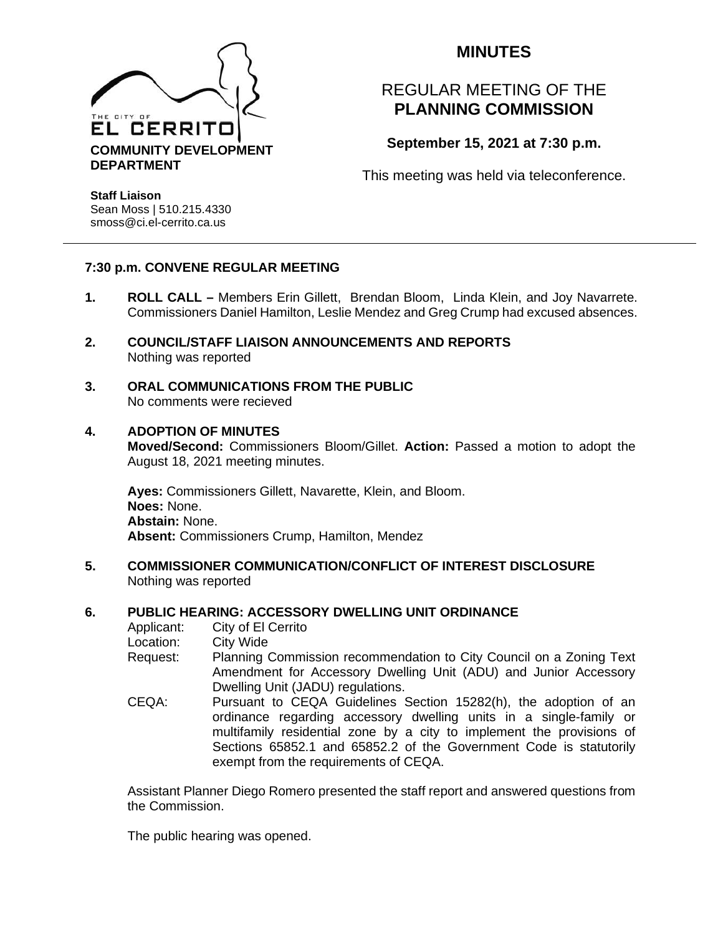

## **MINUTES**

# REGULAR MEETING OF THE **PLANNING COMMISSION**

**September 15, 2021 at 7:30 p.m.**

This meeting was held via teleconference.

**Staff Liaison** Sean Moss | 510.215.4330 smoss@ci.el-cerrito.ca.us

## **7:30 p.m. CONVENE REGULAR MEETING**

- **1. ROLL CALL –** Members Erin Gillett, Brendan Bloom, Linda Klein, and Joy Navarrete. Commissioners Daniel Hamilton, Leslie Mendez and Greg Crump had excused absences.
- **2. COUNCIL/STAFF LIAISON ANNOUNCEMENTS AND REPORTS** Nothing was reported
- **3. ORAL COMMUNICATIONS FROM THE PUBLIC** No comments were recieved

## **4. ADOPTION OF MINUTES**

**Moved/Second:** Commissioners Bloom/Gillet. **Action:** Passed a motion to adopt the August 18, 2021 meeting minutes.

**Ayes:** Commissioners Gillett, Navarette, Klein, and Bloom. **Noes:** None. **Abstain:** None. **Absent:** Commissioners Crump, Hamilton, Mendez

**5. COMMISSIONER COMMUNICATION/CONFLICT OF INTEREST DISCLOSURE** Nothing was reported

exempt from the requirements of CEQA.

#### **6. PUBLIC HEARING: ACCESSORY DWELLING UNIT ORDINANCE**

Applicant: City of El Cerrito Location: City Wide Request: Planning Commission recommendation to City Council on a Zoning Text Amendment for Accessory Dwelling Unit (ADU) and Junior Accessory Dwelling Unit (JADU) regulations. CEQA: Pursuant to CEQA Guidelines Section 15282(h), the adoption of an ordinance regarding accessory dwelling units in a single-family or multifamily residential zone by a city to implement the provisions of Sections 65852.1 and 65852.2 of the Government Code is statutorily

Assistant Planner Diego Romero presented the staff report and answered questions from the Commission.

The public hearing was opened.